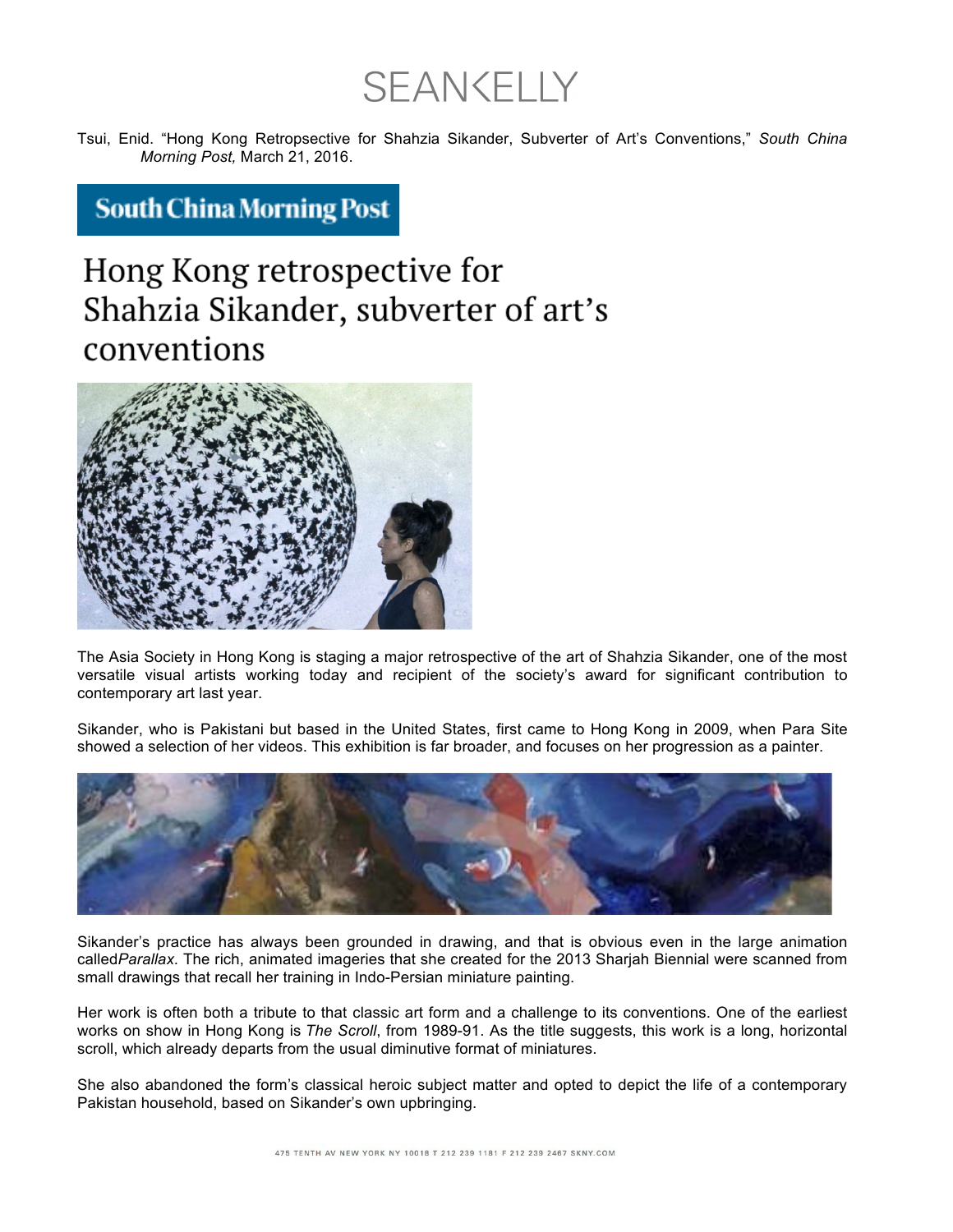**SEAN CELLY** 

Tsui, Enid. "Hong Kong Retropsective for Shahzia Sikander, Subverter of Art's Conventions," *South China Morning Post,* March 21, 2016.

**South China Morning Post** 

## Hong Kong retrospective for Shahzia Sikander, subverter of art's conventions



The Asia Society in Hong Kong is staging a major retrospective of the art of Shahzia Sikander, one of the most versatile visual artists working today and recipient of the society's award for significant contribution to contemporary art last year.

Sikander, who is Pakistani but based in the United States, first came to Hong Kong in 2009, when Para Site showed a selection of her videos. This exhibition is far broader, and focuses on her progression as a painter.



Sikander's practice has always been grounded in drawing, and that is obvious even in the large animation called*Parallax*. The rich, animated imageries that she created for the 2013 Sharjah Biennial were scanned from small drawings that recall her training in Indo-Persian miniature painting.

Her work is often both a tribute to that classic art form and a challenge to its conventions. One of the earliest works on show in Hong Kong is *The Scroll*, from 1989-91. As the title suggests, this work is a long, horizontal scroll, which already departs from the usual diminutive format of miniatures.

She also abandoned the form's classical heroic subject matter and opted to depict the life of a contemporary Pakistan household, based on Sikander's own upbringing.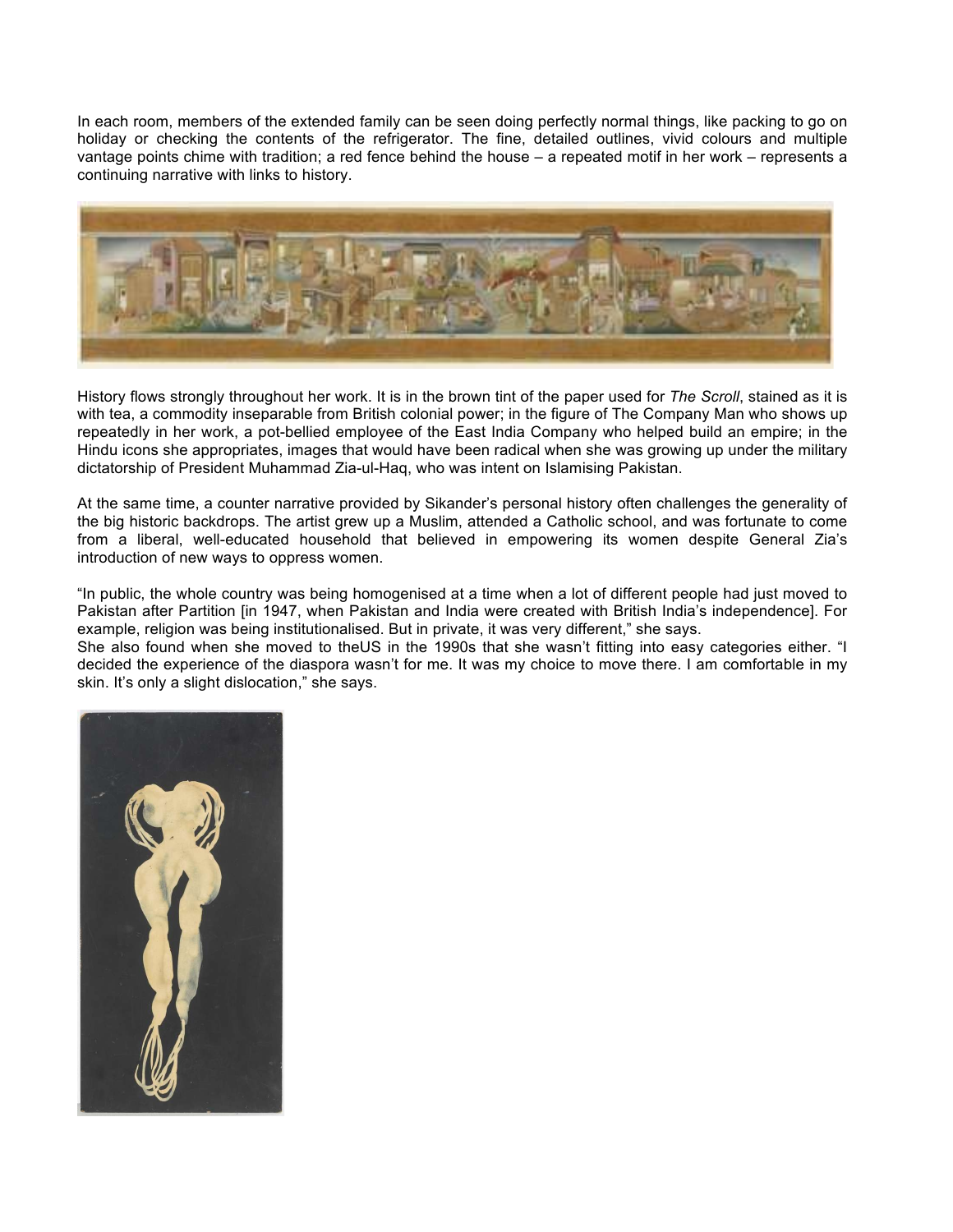In each room, members of the extended family can be seen doing perfectly normal things, like packing to go on holiday or checking the contents of the refrigerator. The fine, detailed outlines, vivid colours and multiple vantage points chime with tradition; a red fence behind the house – a repeated motif in her work – represents a continuing narrative with links to history.



History flows strongly throughout her work. It is in the brown tint of the paper used for *The Scroll*, stained as it is with tea, a commodity inseparable from British colonial power; in the figure of The Company Man who shows up repeatedly in her work, a pot-bellied employee of the East India Company who helped build an empire; in the Hindu icons she appropriates, images that would have been radical when she was growing up under the military dictatorship of President Muhammad Zia-ul-Haq, who was intent on Islamising Pakistan.

At the same time, a counter narrative provided by Sikander's personal history often challenges the generality of the big historic backdrops. The artist grew up a Muslim, attended a Catholic school, and was fortunate to come from a liberal, well-educated household that believed in empowering its women despite General Zia's introduction of new ways to oppress women.

"In public, the whole country was being homogenised at a time when a lot of different people had just moved to Pakistan after Partition [in 1947, when Pakistan and India were created with British India's independence]. For example, religion was being institutionalised. But in private, it was very different," she says.

She also found when she moved to theUS in the 1990s that she wasn't fitting into easy categories either. "I decided the experience of the diaspora wasn't for me. It was my choice to move there. I am comfortable in my skin. It's only a slight dislocation," she says.